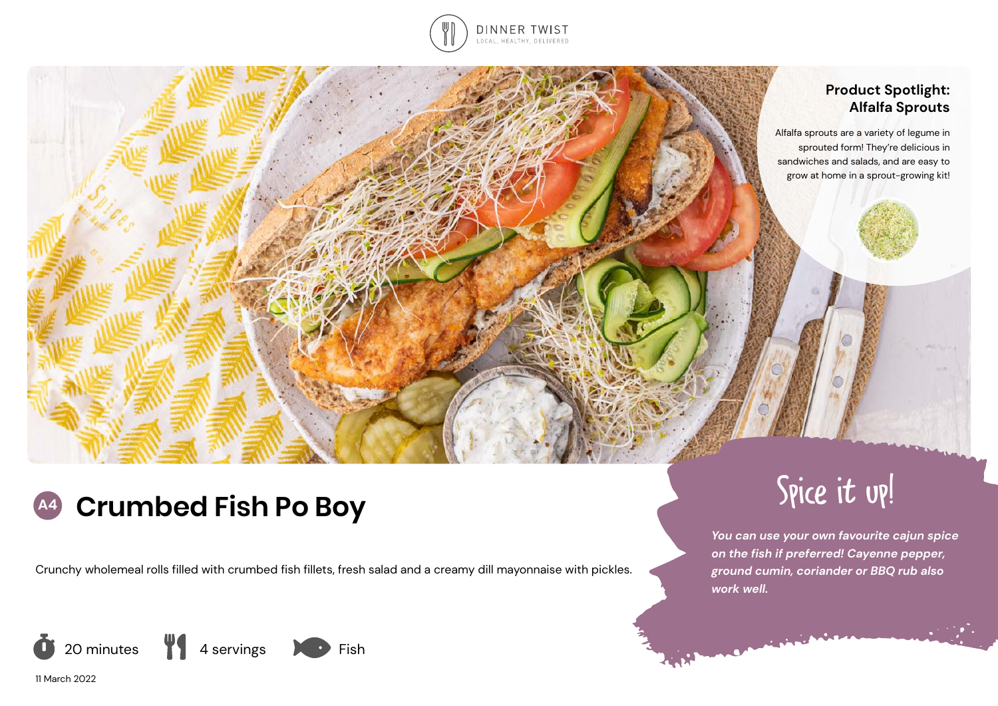

# **Product Spotlight: Alfalfa Sprouts**

Alfalfa sprouts are a variety of legume in sprouted form! They're delicious in sandwiches and salads, and are easy to grow at home in a sprout-growing kit!

# **A4 Crumbed Fish Po Boy** Spice it up!

Crunchy wholemeal rolls filled with crumbed fish fillets, fresh salad and a creamy dill mayonnaise with pickles.





11 March 2022

*You can use your own favourite cajun spice on the fish if preferred! Cayenne pepper, ground cumin, coriander or BBQ rub also work well.*